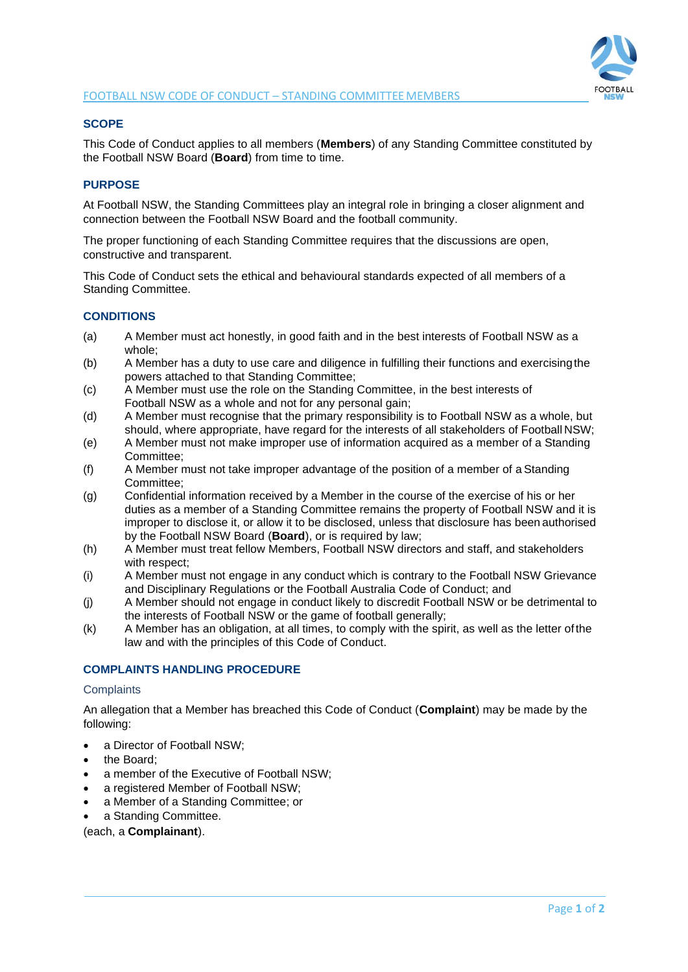

# **SCOPE**

This Code of Conduct applies to all members (**Members**) of any Standing Committee constituted by the Football NSW Board (**Board**) from time to time.

## **PURPOSE**

At Football NSW, the Standing Committees play an integral role in bringing a closer alignment and connection between the Football NSW Board and the football community.

The proper functioning of each Standing Committee requires that the discussions are open, constructive and transparent.

This Code of Conduct sets the ethical and behavioural standards expected of all members of a Standing Committee.

# **CONDITIONS**

- (a) A Member must act honestly, in good faith and in the best interests of Football NSW as a whole;
- (b) A Member has a duty to use care and diligence in fulfilling their functions and exercisingthe powers attached to that Standing Committee;
- (c) A Member must use the role on the Standing Committee, in the best interests of Football NSW as a whole and not for any personal gain;
- (d) A Member must recognise that the primary responsibility is to Football NSW as a whole, but should, where appropriate, have regard for the interests of all stakeholders of Football NSW;
- (e) A Member must not make improper use of information acquired as a member of a Standing Committee;
- (f) A Member must not take improper advantage of the position of a member of a Standing Committee;
- (g) Confidential information received by a Member in the course of the exercise of his or her duties as a member of a Standing Committee remains the property of Football NSW and it is improper to disclose it, or allow it to be disclosed, unless that disclosure has been authorised by the Football NSW Board (**Board**), or is required by law;
- (h) A Member must treat fellow Members, Football NSW directors and staff, and stakeholders with respect;
- (i) A Member must not engage in any conduct which is contrary to the Football NSW Grievance and Disciplinary Regulations or the Football Australia Code of Conduct; and
- (j) A Member should not engage in conduct likely to discredit Football NSW or be detrimental to the interests of Football NSW or the game of football generally;
- (k) A Member has an obligation, at all times, to comply with the spirit, as well as the letter ofthe law and with the principles of this Code of Conduct.

# **COMPLAINTS HANDLING PROCEDURE**

#### **Complaints**

An allegation that a Member has breached this Code of Conduct (**Complaint**) may be made by the following:

- a Director of Football NSW;
- the Board;
- a member of the Executive of Football NSW;
- a registered Member of Football NSW;
- a Member of a Standing Committee; or
- a Standing Committee.

(each, a **Complainant**).